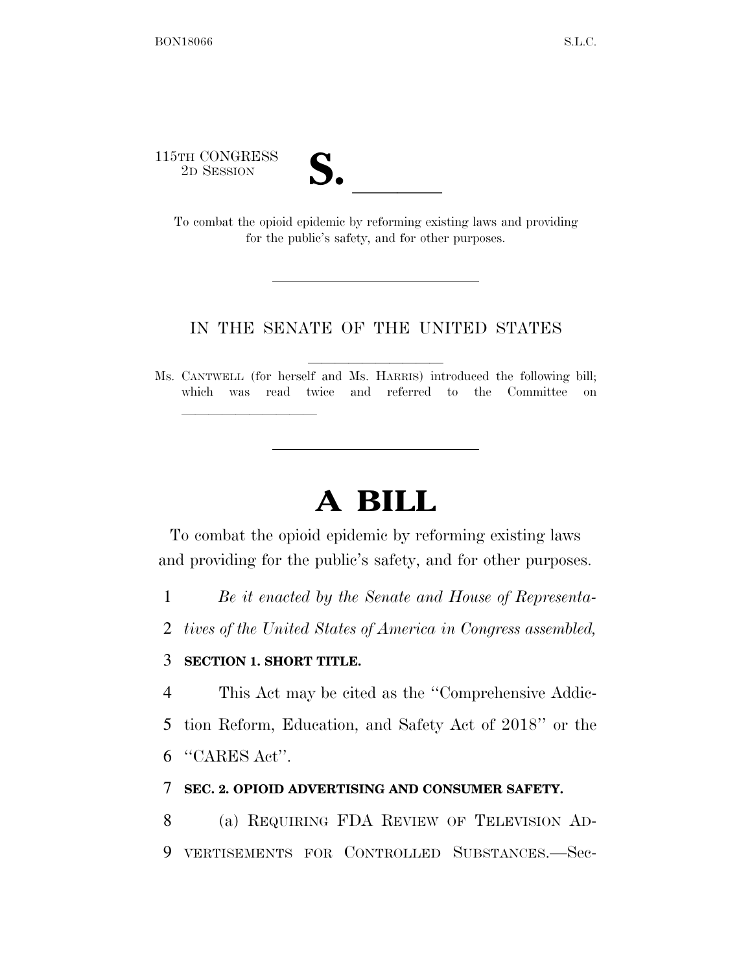115TH CONGRESS



STH CONGRESS<br>
2D SESSION<br>
To combat the opioid epidemic by reforming existing laws and providing for the public's safety, and for other purposes.

#### IN THE SENATE OF THE UNITED STATES

Ms. CANTWELL (for herself and Ms. HARRIS) introduced the following bill; which was read twice and referred to the Committee on

# **A BILL**

To combat the opioid epidemic by reforming existing laws and providing for the public's safety, and for other purposes.

1 *Be it enacted by the Senate and House of Representa-*

2 *tives of the United States of America in Congress assembled,* 

#### 3 **SECTION 1. SHORT TITLE.**

lle and a second control of the second control of the second control of the second control of the second control of the second control of the second control of the second control of the second control of the second control

4 This Act may be cited as the ''Comprehensive Addic-5 tion Reform, Education, and Safety Act of 2018'' or the 6 ''CARES Act''.

#### 7 **SEC. 2. OPIOID ADVERTISING AND CONSUMER SAFETY.**

8 (a) REQUIRING FDA REVIEW OF TELEVISION AD-9 VERTISEMENTS FOR CONTROLLED SUBSTANCES.—Sec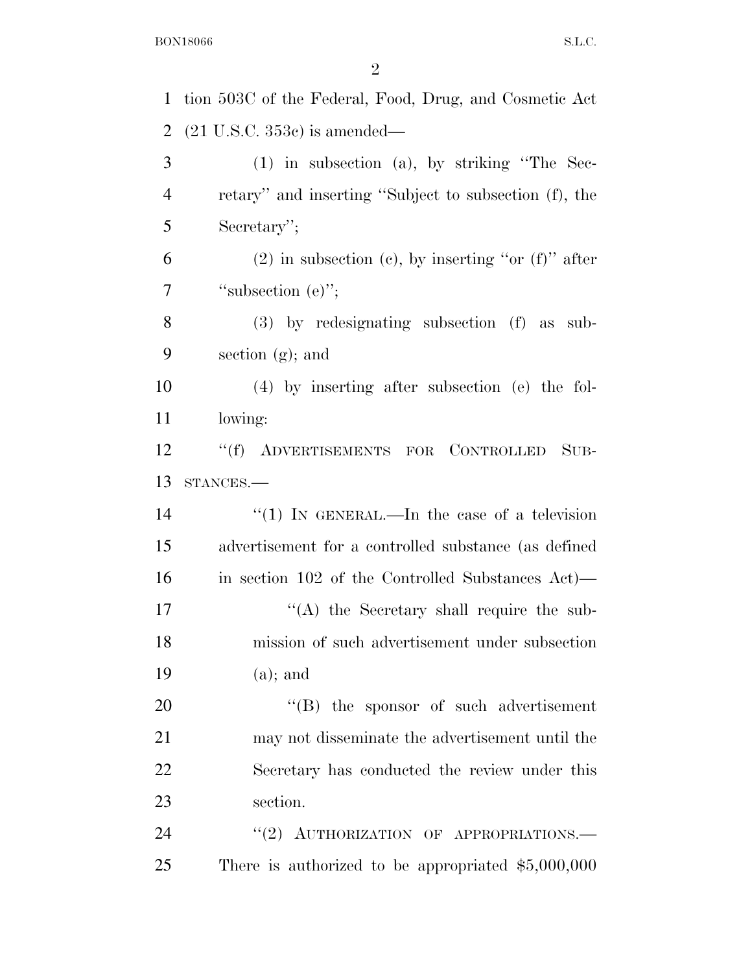| $\mathbf{1}$   | tion 503C of the Federal, Food, Drug, and Cosmetic Act     |
|----------------|------------------------------------------------------------|
| $\overline{2}$ | $(21 \text{ U.S.C. } 353c)$ is amended—                    |
| 3              | $(1)$ in subsection $(a)$ , by striking "The Sec-          |
| $\overline{4}$ | retary" and inserting "Subject to subsection (f), the      |
| 5              | Secretary";                                                |
| 6              | $(2)$ in subsection $(e)$ , by inserting "or $(f)$ " after |
| 7              | "subsection $(e)$ ";                                       |
| 8              | $(3)$ by redesignating subsection $(f)$ as sub-            |
| 9              | section $(g)$ ; and                                        |
| 10             | $(4)$ by inserting after subsection (e) the fol-           |
| 11             | lowing:                                                    |
| 12             | "(f) ADVERTISEMENTS FOR CONTROLLED<br>$SUB-$               |
| 13             | STANCES.                                                   |
| 14             | "(1) IN GENERAL.—In the case of a television               |
| 15             | advertisement for a controlled substance (as defined       |
| 16             | in section 102 of the Controlled Substances Act)—          |
| $17\,$         | $\lq\lq$ the Secretary shall require the sub-              |
| 18             | mission of such advertisement under subsection             |
| 19             | $(a)$ ; and                                                |
| 20             | $\lq\lq$ (B) the sponsor of such advertisement             |
| 21             | may not disseminate the advertisement until the            |
| 22             | Secretary has conducted the review under this              |
| 23             | section.                                                   |
| 24             | "(2) AUTHORIZATION OF APPROPRIATIONS.-                     |
| 25             | There is authorized to be appropriated $$5,000,000$        |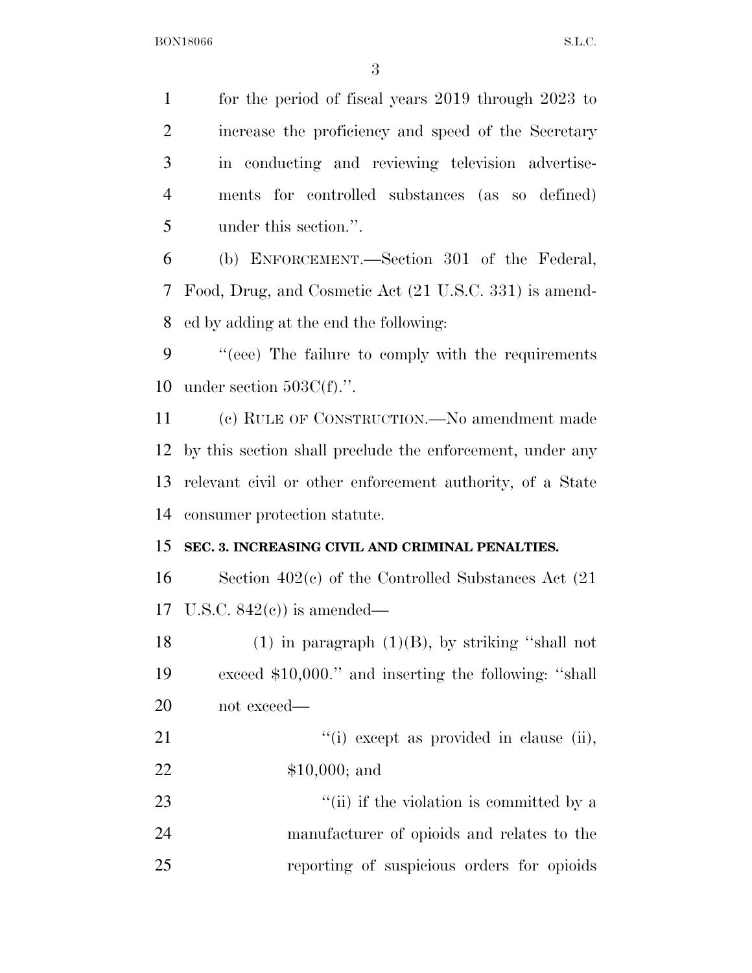for the period of fiscal years 2019 through 2023 to increase the proficiency and speed of the Secretary in conducting and reviewing television advertise- ments for controlled substances (as so defined) under this section.''.

 (b) ENFORCEMENT.—Section 301 of the Federal, Food, Drug, and Cosmetic Act (21 U.S.C. 331) is amend-ed by adding at the end the following:

 ''(eee) The failure to comply with the requirements under section 503C(f).''.

 (c) RULE OF CONSTRUCTION.—No amendment made by this section shall preclude the enforcement, under any relevant civil or other enforcement authority, of a State consumer protection statute.

## **SEC. 3. INCREASING CIVIL AND CRIMINAL PENALTIES.**

 Section 402(c) of the Controlled Substances Act (21 U.S.C. 842(c)) is amended—

18 (1) in paragraph  $(1)(B)$ , by striking "shall not exceed \$10,000.'' and inserting the following: ''shall not exceed—

21  $\frac{1}{1}$  except as provided in clause (ii), \$10,000; and

23 ''(ii) if the violation is committed by a manufacturer of opioids and relates to the reporting of suspicious orders for opioids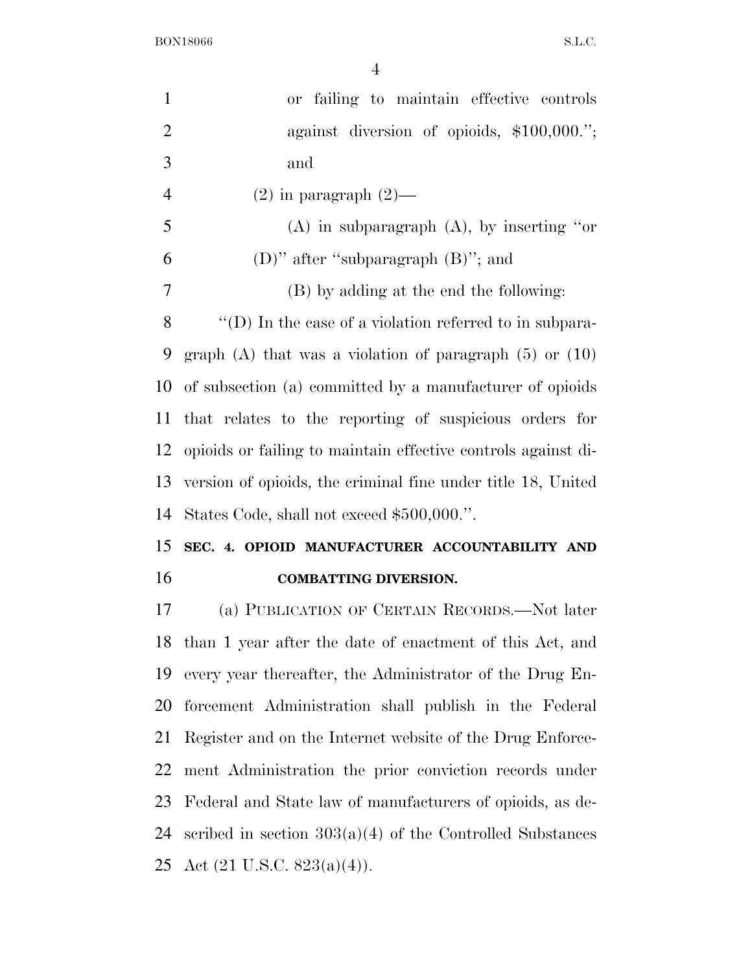BON18066 S.L.C.

| $\mathbf{1}$   | failing to maintain effective controls<br>or                  |
|----------------|---------------------------------------------------------------|
| $\overline{2}$ | against diversion of opioids, $$100,000."$ ;                  |
| 3              | and                                                           |
| $\overline{4}$ | $(2)$ in paragraph $(2)$ —                                    |
| 5              | $(A)$ in subparagraph $(A)$ , by inserting "or                |
| 6              | (D)" after "subparagraph $(B)$ "; and                         |
| 7              | (B) by adding at the end the following:                       |
| 8              | "(D) In the case of a violation referred to in subpara-       |
| 9              | graph $(A)$ that was a violation of paragraph $(5)$ or $(10)$ |
| 10             | of subsection (a) committed by a manufacturer of opioids      |
| 11             | that relates to the reporting of suspicious orders for        |
| 12             | opioids or failing to maintain effective controls against di- |
| 13             | version of opioids, the criminal fine under title 18, United  |
| 14             | States Code, shall not exceed \$500,000.".                    |
| 15             | SEC. 4. OPIOID MANUFACTURER ACCOUNTABILITY AND                |
| 16             | <b>COMBATTING DIVERSION.</b>                                  |
| 17             | (a) PUBLICATION OF CERTAIN RECORDS.—Not later                 |
| 18             | than 1 year after the date of enactment of this Act, and      |
| 19             | every year thereafter, the Administrator of the Drug En-      |
|                |                                                               |

 forcement Administration shall publish in the Federal Register and on the Internet website of the Drug Enforce- ment Administration the prior conviction records under Federal and State law of manufacturers of opioids, as de-24 scribed in section  $303(a)(4)$  of the Controlled Substances Act (21 U.S.C. 823(a)(4)).